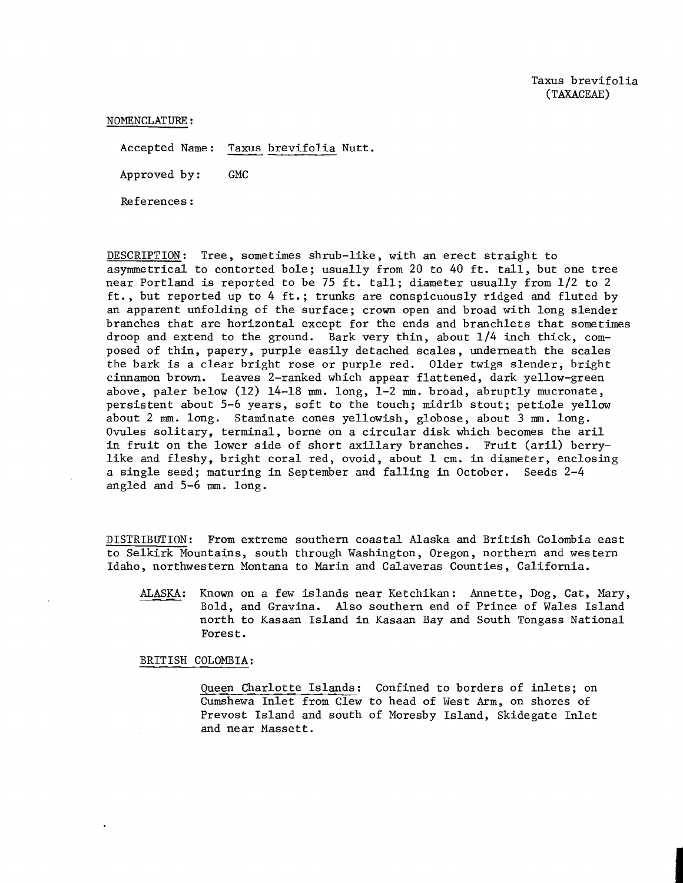NOMENCLATURE :

Accepted Name: Taxus brevifolia Nutt.

Approved by : GMC

References :

DESCRIPTION : Tree, sometimes shrub-like, with an erect straight to asymmetrical to contorted bole; usually from 20 to 40 ft. tall, but one tree near Portland is reported to be 75 ft. tall; diameter usually from 1/2 to 2 ft., but reported up to 4 ft.; trunks are conspicuously ridged and fluted by an apparent unfolding of the surface; crown open and broad with long slender branches that are horizontal except for the ends and branchlets that sometimes droop and extend to the ground. Bark very thin, about 114 inch thick, composed of thin, papery, purple easily detached scales, underneath the scales the bark is a clear bright rose or purple red. Older twigs slender, bright cinnamon brown. Leaves 2-ranked which appear flattened, dark yellow-green above, paler below  $(12)$  14-18  $mm.$  long, 1-2  $mm.$  broad, abruptly mucronate, persistent about 5-6 years, soft to the touch; midrib stout; petiole yellow about 2 mm. long. Staminate cones yellowish, globose, about **3** mm. long. Ovules solitary, terminal, borne on a circular disk which becomes the aril in fruit on the lower side of short axillary branches. Fruit (aril) berrylike and fleshy, bright coral red, ovoid, about 1 cm. in diameter, enclosing a single seed; maturing in September and falling in October. Seeds 2-4 angled and  $5-6$  mm. long.

DISTRIBUTION: From extreme southern coastal Alaska and British Colombia east to Selkirk Mountains, south through Washington, Oregon, northern and western Idaho, northwestern Montana to Marin and Calaveras Counties, California.

ALASKA: Known on a few islands near Ketchikan: Annette, Dog, Cat, Mary, Bold, and Gravina. Also southern end of Prince of Wales Island north to Kasaan Island in Kasaan Bay and South Tongass National Forest .

BRITISH COLOMBIA :

Queen Charlotte Islands: Confined to borders of inlets; on Cumshewa Inlet from Clew to head of West Arm, on shores of Prevost Island and south of Moresby Island, Skidegate Inlet and near Massett.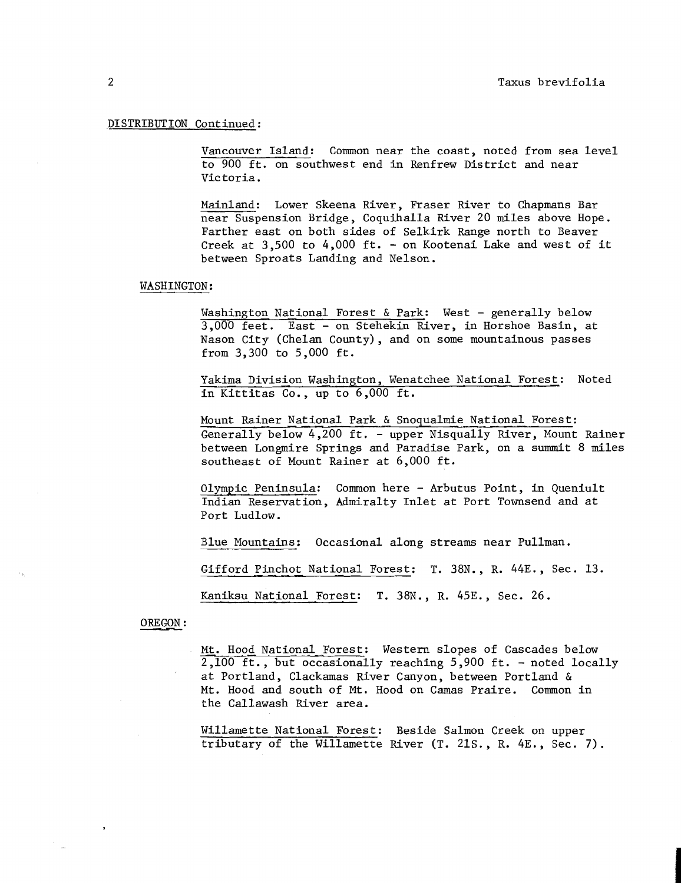# ,DISTRIBUTION Continued :

Vancouver Island: Common near the coast, noted from sea level to 900 ft. on southwest end in Renfrew District and near Victoria.

Mainland: Lower Skeena River, Fraser River to Chapmans Bar near Suspension Bridge, Coquihalla River 20 miles above Hope. Farther east on both sides of Selkirk Range north to Beaver Creek at 3,500 to 4,000 ft. - on Kootenai Lake and west of it between Sproats Landing and Nelson.

#### WASHINGTON:

Washington National Forest & Park: West - generally below 3,000 feet. East - on Stehekin River, in Horshoe Basin, at Nason City (Chelan County), and on some mountainous passes from 3,300 to 5,000 ft.

Yakima Division Washington, Wenatchee National Forest: Noted in Kittitas Co., up to 6,000 ft.

Mount Rainer National Park & Snoqualmie National Forest : Generally below 4,200 ft. - upper Nisqually River, Mount Rainer between Longmire Springs and Paradise Park, on a summit 8 miles southeast of Mount Rainer at 6,000 ft.

Olympic Peninsula: Common here - Arbutus Point, in Queniult Indian Reservation, Admiralty Inlet at Port Townsend and at Port Ludlow .

Blue Mountains: Occasional along streams near Pullman.

Gifford Pinchot National Forest: T. 38N., R. 44E., Sec. 13.

Kaniksu National Forest: T. 38N., R. 45E., Sec. 26.

OREGON :

Mt. Hood National Porest: Western slopes of Cascades below 2,100 ft., but occasionally reaching 5,900 ft. - noted locally at Portland, Clackamas River Canyon, between Portland & Mt. Hood and south of Mt. Hood on Camas Praire. Common in the Callawash River area.

Willamette National Forest: Beside Salmon Creek on upper tributary of the Willamette River (T. 21S., R. 4E., Sec. 7).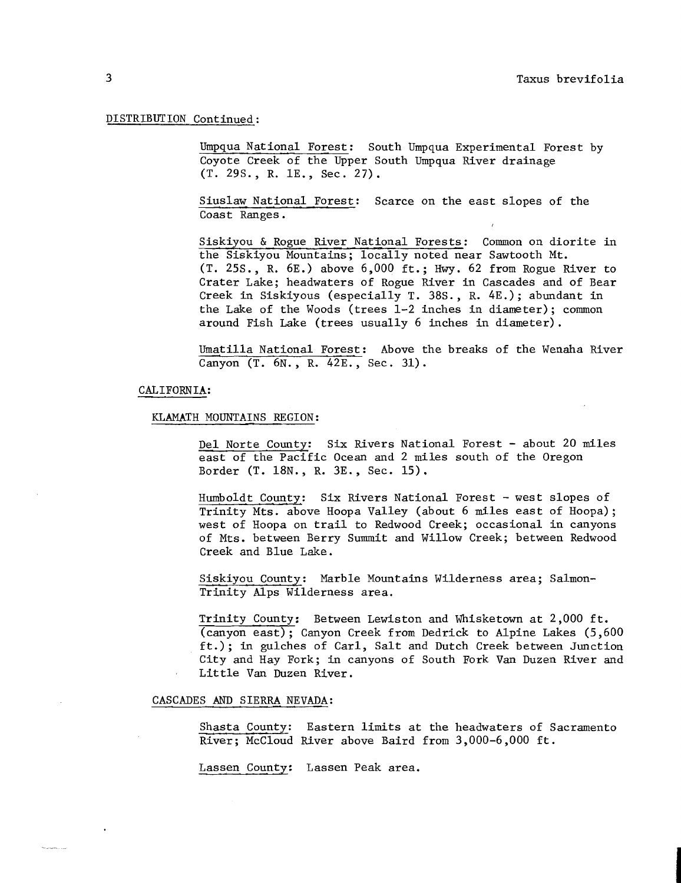# DISTRIBUTION Continued:

Umpqua National Forest: South Umpqua Experimental Forest by Coyote Creek of the Upper South Umpqua River drainage (T. 29s. , R. lE., Sec. 27).

Siuslaw National Forest: Scarce on the east slopes of the Coast Ranges .

Siskiyou & Rogue River National Forests: Common on diorite in the Siskiyou Mountains; locally noted near Sawtooth Mt. (T. 25S., R. 6E.) above 6,000 ft.; Hwy. 62 from Rogue River to Crater Lake; headwaters of Rogue River in Cascades and of Bear Creek in Siskiyous (especially T. 38S., R. 4E.); abundant in the Lake of the Woods (trees 1-2 inches in diameter); common around Fish Lake (trees usually 6 inches in diameter) .

Umatilla National Forest: Above the breaks of the Wenaha River Canyon (T. 6N., R. 42E., Sec. 31).

# CALIFORNIA:

#### KLAMATH MOUNTAINS REGION :

Del Norte County: Six Rivers National Forest - about 20 miles east of the Pacific Ocean and 2 miles south of the Oregon Border (T. 18N., R. 3E., Sec. 15).

Humboldt County: Six Rivers National Forest - west slopes of Trinity Mts. above Hoopa Valley (about 6 miles east of Hoopa); west of Hoopa on trail to Redwood Creek; occasional in canyons of Mts. between Berry Summit and Willow Creek; between Redwood Creek and Blue Lake.

Siskiyou County: Marble Mountains Wilderness area; Salmon-Trinity Alps Wilderness area.

Trinity County: Between Lewiston and Whisketown at 2,000 ft. (canyon east); Canyon Creek from Dedrick to Alpine Lakes (5,600 ft.); in gulches of Carl, Salt and Dutch Creek between Junction City and Hay Fork; in canyons of South Fork Van Duzen River and Little Van Duzen River.

# CASCADES AND SIERRA NEVADA:

Shasta County: Eastern limits at the headwaters of Sacramento River; McCloud River above Baird from 3,000-6,000 ft.

Lassen County: Lassen Peak area.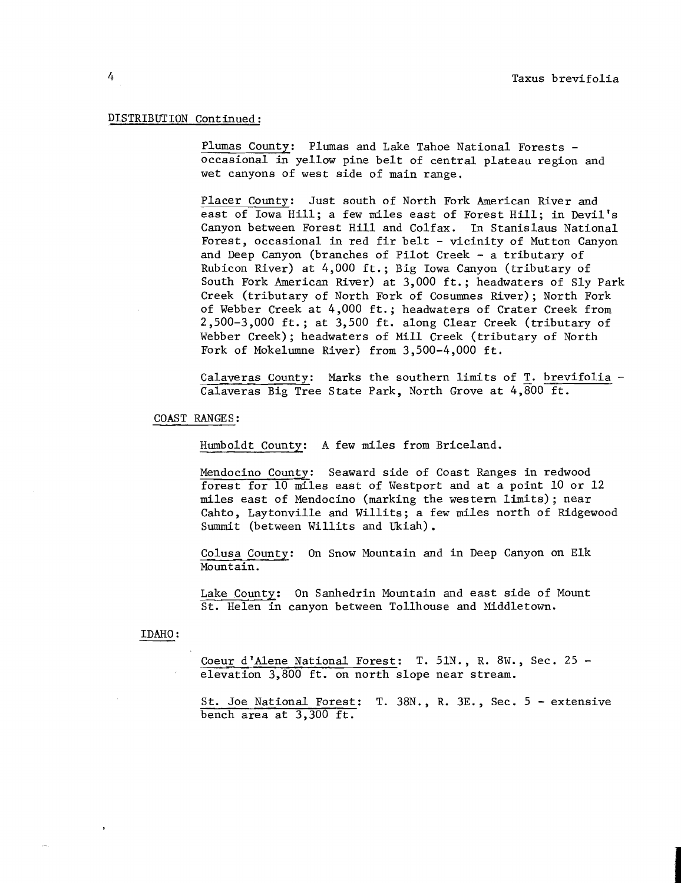## DISTRIBUTION Continued :

Plumas County: Plumas and Lake Tahoe National Forests occasional in yellow pine belt of central plateau region and wet canyons of west side of main range.

Placer County: Just south of North Fork American River and east of Iowa Hill; a few miles east of Forest Hill; in Devil's Canyon between Forest Hill and Colfax. In Stanislaus National Forest, occasional in red fir belt - vicinity of Mutton Canyon and Deep Canyon (branches of Pilot Creek - a tributary of Rubicon River) at 4,000 ft.; Big Iowa Canyon (tributary of South Fork American River) at 3,000 ft.; headwaters of Sly Park Creek (tributary of North Fork of Cosumnes River); North Fork of Webber Creek at 4,000 ft.; headwaters of Crater Creek from 2,500-3,000 ft.; at 3,500 ft. along Clear Creek (tributary of Webber Creek); headwaters of Mill Creek (tributary of North Fork of Mokelumne River) from 3,500-4,000 ft.

Calaveras County: Marks the southern limits of T. brevifolia - Calaveras Big Tree State Park, North Grove at 4,800 ft.

COAST RANGES:

Humboldt County: **A** few miles from Briceland.

Mendocino County: Seaward side of Coast Ranges in redwood forest for 10 miles east of Westport and at a point 10 or 12 miles east of Mendocino (marking the western limits); near Cahto, Laytonville and Willits; a few miles north of Ridgewood Summit (between Willits and Ukiah).

Colusa County: On Snow Mountain and in Deep Canyon on Elk Mountain.

Lake County: On Sanhedrin Mountain and east side of Mount St. Helen in canyon between Tollhouse and Middletown.

### IDAHO :

Coeur d'Alene National Forest: T.  $51N.$ , R.  $8W.$ , Sec. 25 elevation 3,800 ft. on north slope near stream.

St. Joe National Forest: T. 38N., R. 3E. , Sec. 5 - extensive bench area at 3,300 ft.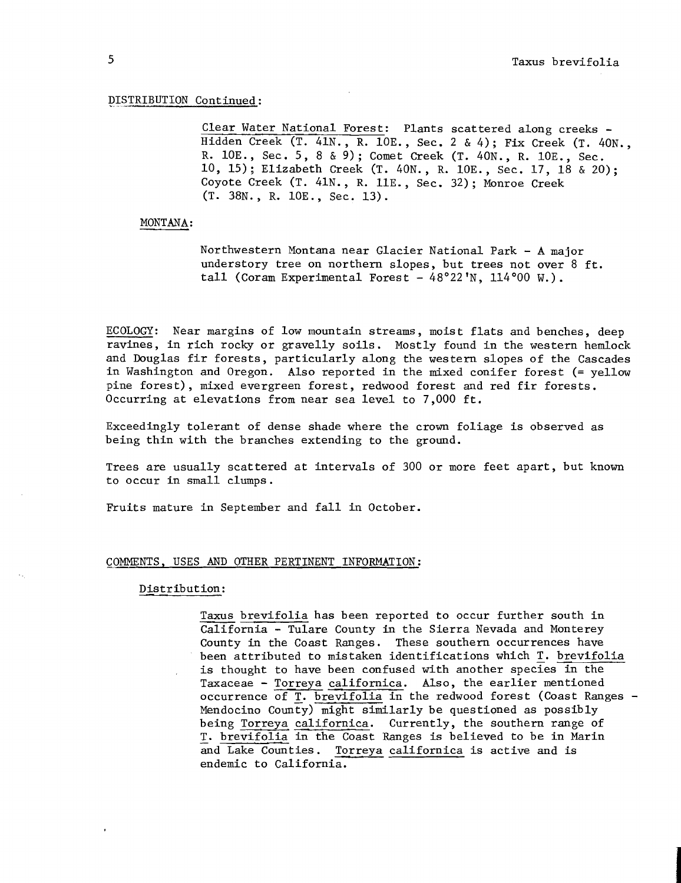#### DISTRIBUTION Continued:

Clear Water National Forest: Plants scattered along creeks - Hidden Creek (T. 41N., R. lOE., Sec. 2 & 4); Fix Creek (T. 40N., R. lOE., Sec. 5, 8 & 9) ; Comet Creek (T. 40N., R. lOE., Sec. 10, 15); Elizabeth Creek (T. 40N., R. lOE., Sec. 17, 18 & 20); Coyote Creek (T. 41N., R. 11E., Sec. 32); Monroe Creek (T. 38N., R. lOE., Sec. 13).

## MONTANA :

Northwestern Montana near Glacier National Park - A major understory tree on northern slopes, but trees not over 8 ft. tall (Coram Experimental Forest -  $48^{\circ}22'N$ ,  $114^{\circ}00 W$ .).

ECOLOGY: Near margins of low mountain streams, moist flats and benches, deep ravines, in rich rocky or gravelly soils. Mostly found in the western hemlock and Douglas fir forests, particularly along the western slopes of the Cascades in Washington and Oregon. Also reported in the mixed conifer forest (= yellow pine forest), mixed evergreen forest, redwood forest and red fir forests. Occurring at elevations from near sea level to 7,000 ft.

Exceedingly tolerant of dense shade where the crown foliage is observed as being thin with the branches extending to the ground.

Trees are usually scattered at intervals of 300 or more feet apart, but known to occur in small clumps.

Fruits mature in September and fall in October.

### COMMENTS, USES AND OTHER PERTINENT INFORMATION :

### Distribution:

Taxus brevifolia has been reported to occur further south in California - Tulare County in the Sierra Nevada and Monterey County in the Coast Ranges. These southern occurrences have been attributed to mistaken identifications which T. brevifolia is thought to have been confused with another species in the Taxaceae - Torreya californica. Also, the earlier mentioned occurrence of T. brevifolia in the redwood forest (Coast Ranges - Mendocino county) might similarly be questioned as possibly being Torreya californica. Currently, the southern range of T. brevifolia in the Coast Ranges is believed to be in Marin and Lake Counties. Torreya californica is active and is Torreya californica is active and is endemic to California.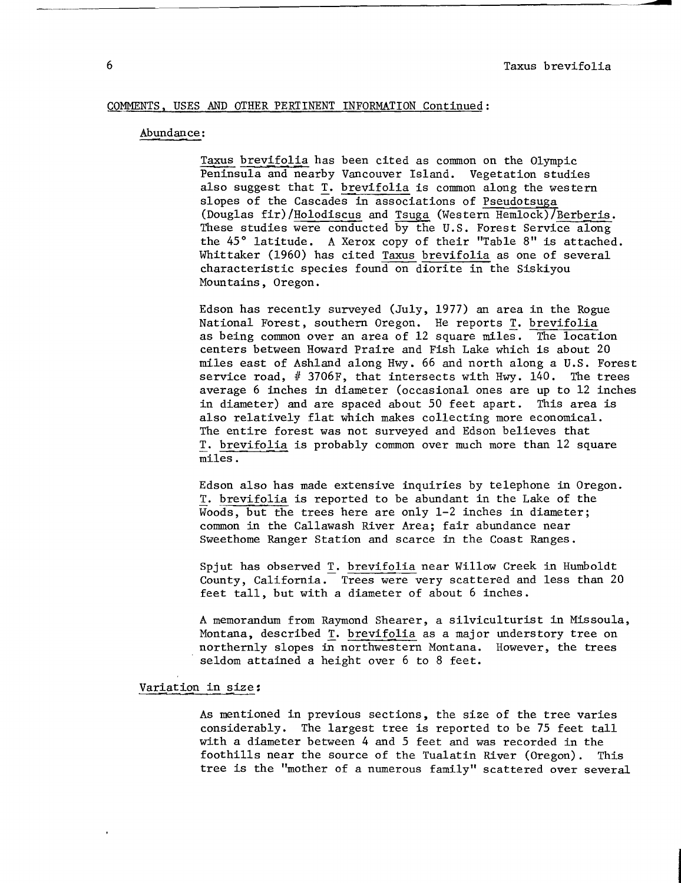# COMMENTS, USES AND OTHER PERTINENT INFORMATION Continued :

# Abundance :

Taxus brevi:<br>AND OTHER PERTINENT INFORMATION Continued:<br>:<br>Taxus brevifolia has been cited as common on the Olympic<br>Peninsula and nearby Vancouver Island. Vegetation studie<br>also suggest that T. brevifolia is common along th Peninsula and nearby Vancouver Island. Vegetation studies also suggest that T. brevifolia is common along the western slopes of the cascades in associations of Pseudotsuga (Douglas fir)/Holodiscus and Tsuga (Western Hemlock)/Berberis. These studies were conducted by the U.S. Forest Service along the 45' latitude. A Xerox copy of their "Table 8" is attached. Whittaker (1960) has cited Taxus brevifolia as one of several characteristic species found on diorite in the Siskiyou Mountains, Oregon.

Edson has recently surveyed (July, 1977) an area in the Rogue National Forest, southern Oregon. He reports T. brevifolia as being common over an area of 12 square miles. The location centers between Howard Praire and Fish Lake which is about 20 miles east of Ashland along Hwy. 66 and north along a U.S. Forest service road,  $# 3706F$ , that intersects with Hwy. 140. The trees average 6 inches in diameter (occasional ones are up to 12 inches in diameter) and are spaced about 50 feet apart. This area is also relatively flat which makes collecting more economical. The entire forest was not surveyed and Edson believes that T. brevifolia is probably common over much more than 12 square miles.

Edson also has made extensive inquiries by telephone in Oregon. T. brevifolia is reported to be abundant in the Lake of the Woods, but the trees here are only 1-2 inches in diameter; common in the Callawash River Area; fair abundance near Sweethome Ranger Station and scarce in the Coast Ranges.

Spjut has observed T. brevifolia near Willow Creek in Humboldt County, California. Trees were very scattered and less than 20 feet tall, but with a diameter of about 6 inches.

A memorandum from Raymond Shearer, a silviculturist in Missoula, Montana, described T. brevifolia as a major understory tree on northernly slopes in northwestern Montana. However, the trees seldom attained a height over 6 to 8 feet.

Variation in size:

As mentioned in previous sections, the size of the tree varies considerably. The largest tree is reported to be 75 feet tall with a diameter between 4 and 5 feet and was recorded in the foothills near the source of the Tualatin River (Oregon). This tree is the "mother of a numerous family" scattered over several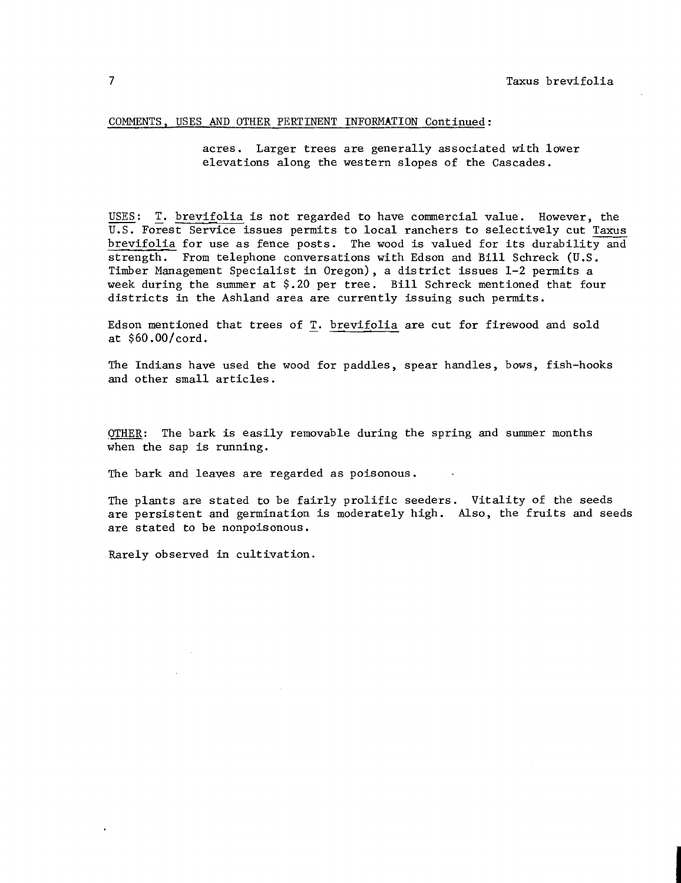#### COMMENTS, USES AND OTHER PERTINENT INFORMATION Continued:

acres. Larger trees are generally associated with lower elevations along the western slopes of the Cascades.

USES: T. brevifolia is not regarded to have commercial value. However, the U.S. Forest Service issues permits to local ranchers to selectively cut Taxus brevifolia for use as fence posts. The wood is valued for its durability and strength. From telephone conversations with Edson and Bill Schreck (U.S. Timber Management Specialist in Oregon), a district issues 1-2 permits a week during the summer at \$.20 per tree. Bill Schreck mentioned that four districts in the Ashland area are currently issuing such permits.

Edson mentioned that trees of T. brevifolia are cut for firewood and sold at \$60.00/cord.

The Indians have used the wood for paddles, spear handles, bows, fish-hooks and other small articles.

 $OTHEN:$  The bark is easily removable during the spring and summer months when the sap is running.

The bark and leaves are regarded as poisonous.

The plants are stated to be fairly prolific seeders. Vitality of the seeds are persistent and germination is moderately high. Also, the fruits and seeds are stated to be nonpoisonous.

Rarely observed in cultivation.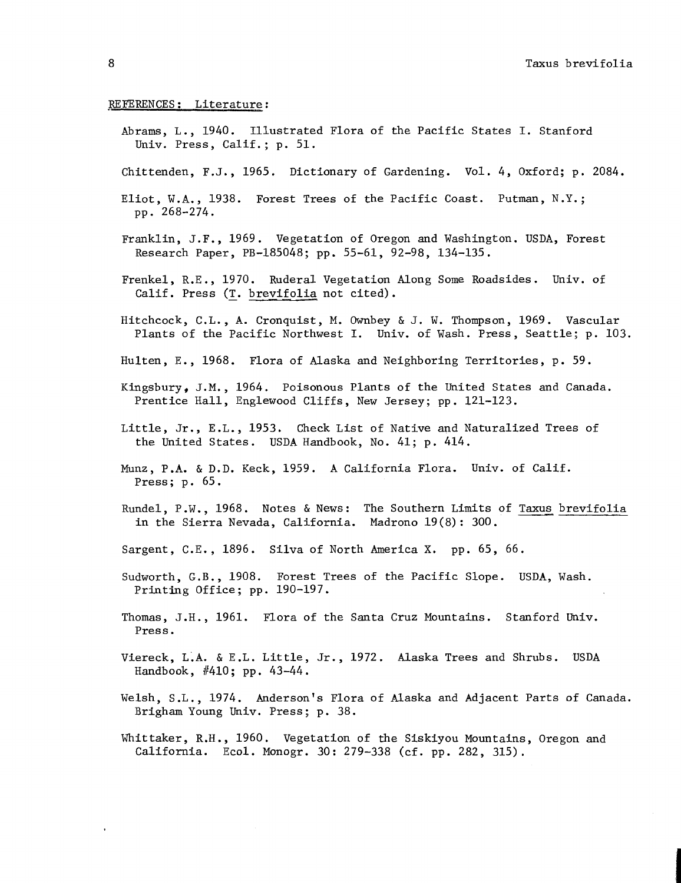## REFERENCES: Literature:

- Abrams, L., 1940. Illustrated Flora of the Pacific States I. Stanford Univ. Press, Calif.; p. 51.
- Chittenden, F.J., 1965. Dictionary of Gardening. Vol. 4, Oxford; p. 2084.
- Eliot, W.A., 1938. Forest Trees of the Pacific Coast. Putman, N.Y.; pp. 268-274.
- Franklin, J.F., 1969. Vegetation of Oregon and Washington. USDA, Forest Research Paper, PB-185048; pp. 55-61, 92-98, 134-135.
- Frenkel, R.E., 1970. Ruderal Vegetation Along Some Roadsides. Univ. of Calif. Press (<u>T. brevifolia</u> not cited).
- Hitchcock, C.L., A. Cronquist, M. Ownbey & J. W. Thompson, 1969. Vascular Plants of the Pacific Northwest I. Univ. of Wash. Press, Seattle; p. 103.
- Hulten, E. , 1968. Flora of Alaska and Neighboring Territories, p. 59.
- Kingsbury, J.M., 1964. Poisonous Plants of the United States and Canada. Prentice Hall, Englewood Cliffs, New Jersey; pp. 121-123.
- Little, Jr., E.L., 1953. Check List of Native and Naturalized Trees of the United States. USDA Handbook, No. 41; p. 414.
- Munz, P.A. & D.D. Keck, 1959. **A** California Flora. Univ. of Calif. Press; p. 65.
- Rundel, P.W., 1968. Notes & News: The Southern Limits of Taxus brevifolia in the Sierra Nevada, California. Madrono 19 (8) : 300.
- Sargent, C.E., 1896. Silva of North America X. pp. 65, 66.
- Sudworth, G.B., 1908. Forest Trees of the Pacific Slope. USDA, Wash. Printing Office; pp. 190-197.
- Thomas, J.H., 1961. Flora of the Santa Cruz Mountains. Stanford Univ. Press .
- Viereck, L.A. & E .L. Little, Jr., 1972. Alaska Trees and Shrubs. USDA Handbook,  $#410$ ; pp.  $43-44$ .
- Welsh, S.L., 1974. Anderson's Flora of Alaska and Adjacent Parts of Canada. Brigham Young Univ. Press; p. 38.
- Whittaker, R.H., 1960. Vegetation of the Siskiyou Mountains, Oregon and California. Ecol. Monogr. 30: 279-338 (cf. pp. 282, 315).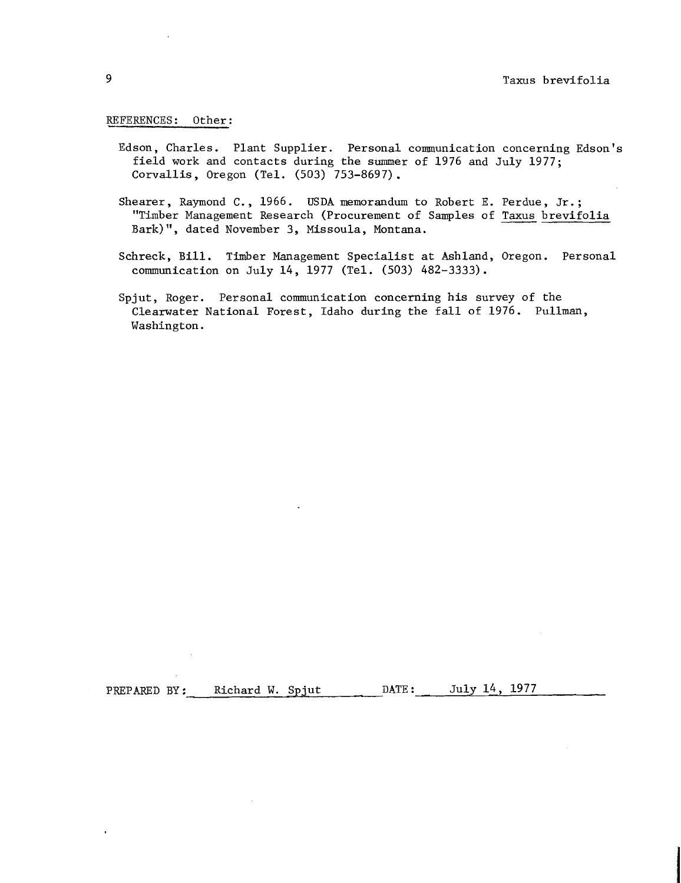### REFERENCES: Other:

- Edson, Charles. Plant Supplier. Personal conununication concerning Edson's field work and contacts during the summer of 1976 and July 1977; Corvallis, Oregon (Tel. (503) 753-8697).
- Shearer, Raymond C., 1966. USDA memorandum to Robert E. Perdue, Jr.; "Timber Management Research (Procurement of Samples of Taxus brevifolia Bark)", dated November 3, Missoula, Montana.
- Schreck, Bill. Timber Management Specialist at Ashland, Oregon. Personal communication on July 14, 1977 (Tel. (503) 482-3333).
- Spjut, Roger. Personal communication concerning his survey of the Clearwater National Forest, Idaho during the fall of 1976. Pullman, Washington.

PREPARED BY: Richard W. Spjut DATE: July 14, 1977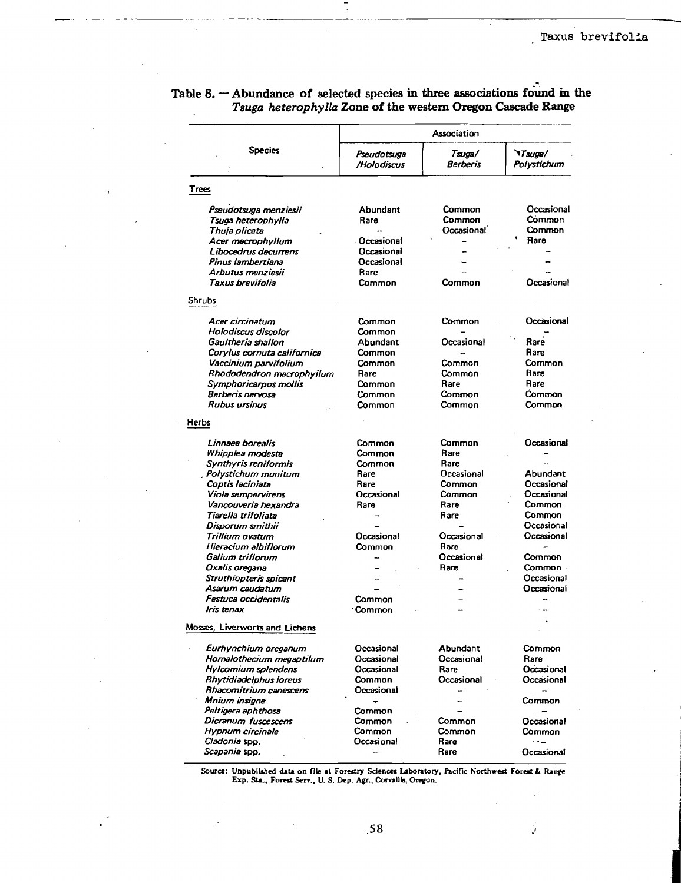| <b>Species</b>                           | Association                |                          |                                      |
|------------------------------------------|----------------------------|--------------------------|--------------------------------------|
|                                          | Pseudotsuga<br>/Holodiscus | Tsuœ/<br><b>Berberis</b> | <b><i>NTsuga/</i></b><br>Polystichum |
| <b>Trees</b>                             |                            |                          |                                      |
| Pseudotsuga menziesii                    | Abundant                   | Common                   | Occasional                           |
| Tsuga heterophylla                       | Rare                       | Common                   | Common                               |
| Thuja plicata                            |                            | <b>Occasional</b>        | Common                               |
| Acer macrophyllum                        | Occasional                 |                          | Rare                                 |
| Libocedrus decurrens                     | Occasional                 |                          |                                      |
| Pinus lambertiana                        | Occasional                 |                          |                                      |
| Arbutus menziesii                        | Rare                       |                          |                                      |
| Taxus brevifolia                         | Common                     | Common                   | Occasional                           |
| Shrubs                                   |                            |                          |                                      |
| Acer circinatum                          | Common                     | Common                   | Occasional                           |
| Holodiscus discolor                      | Common                     |                          |                                      |
| Gaultheria shallon                       | Abundant                   | Occasional               | Rare                                 |
| Corylus cornuta californica              | Common                     |                          | Rare                                 |
| Vaccinium parvifolium                    | Common                     | Common                   | Common                               |
| Rhododendron macrophyllum                | Rare                       | Common                   | Rare                                 |
| Symphoricarpos mollis                    | Common                     | Rare                     | Rare                                 |
| Berberis nervosa                         | Common                     | <b>Common</b>            | Common                               |
| <b>Rubus ursinus</b>                     | Common                     | Common                   | Common                               |
| Herbs                                    |                            |                          |                                      |
| Linnaea borealis                         | Common                     | Common                   | Occasional                           |
| Whipplea modesta                         | Common                     | Rare                     |                                      |
| <b>Synthyris reniformis</b>              | Common                     | Rare                     |                                      |
| Polystichum munitum                      | Rare                       | Occasional               | Abundant                             |
| Coptis Iaciniata                         | Rare                       | Common                   | Occasional                           |
| Viola sempervirens                       | Occasional                 | Common                   | Occasional                           |
| Vancouveria hexandra                     | Rare                       | Rare                     | Common                               |
| Tiarella trifoliata                      |                            | Rare                     | Common                               |
| Disporum smithii                         | Occasional                 | Occasional               | Occasional<br>Occasional             |
| Trillium ovatum<br>Hieracium albiflorum  | Common                     | Rare                     |                                      |
| Galium triflorum                         |                            | Occasional               | Common                               |
|                                          |                            | Rare                     | Common                               |
| Oxalis oregana<br>Struthiopteris spicant |                            |                          | Occasional                           |
| Asarum caudatum                          |                            |                          | Occasional                           |
| Festuca occidentalis                     | Common                     |                          |                                      |
| Iris tenax                               | Common                     |                          |                                      |
| Mosses, Liverworts and Lichens           |                            |                          |                                      |
| Eurhynchium oreganum                     | Occasional                 | Abundant                 | Common                               |
| Homalothecium megaptilum                 | Occasional                 | Occasional               | Rare                                 |
| <b>Hylcomium</b> splendens               | Occasional                 | Rare                     | Occasional                           |
| Rhytidiadelphus loreus                   | Common                     | Occasional               | Occasional                           |
| Rhacomitrium canescens                   | Occasional                 |                          |                                      |
| Mnium insigne                            | ٠                          |                          | Common                               |
| Peltigera aphthosa                       | Common                     |                          |                                      |
| Dicranum fuscescens                      | Common                     | Common                   | Occasional                           |
| Hypnum circinale                         | Common                     | Common                   | Common                               |
| Cladonia spp.                            | Occasional                 | Rare                     | $\cdot$ . $\sim$                     |
| <i>Scapania</i> spp.                     |                            | Rare                     | Occasional                           |

Table 8.  $-$  Abundance of selected species in three associations found in the Tsuga heterophylla Zone of the western Oregon Cascade Range

Source: Unpublished data on file at Forestry Sciences Laboratory, Pacific Northwest Forest & Range Exp. Sta., Forest Serv., U. S. Dep. Agr., Corvallia, Oregon.

 $\tilde{\mathcal{I}}$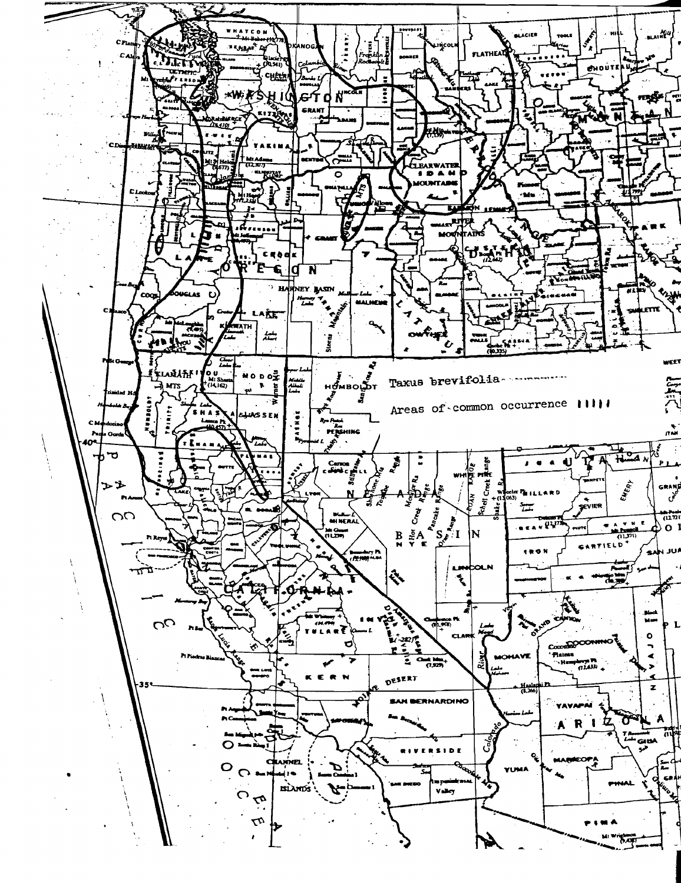